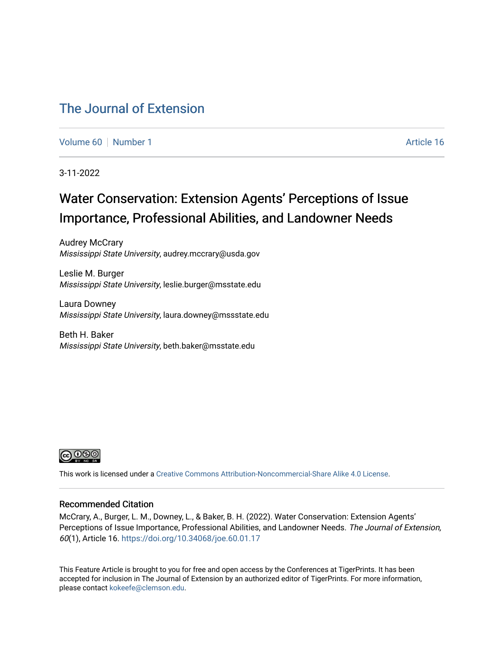# [The Journal of Extension](https://tigerprints.clemson.edu/joe)

[Volume 60](https://tigerprints.clemson.edu/joe/vol60) [Number 1](https://tigerprints.clemson.edu/joe/vol60/iss1) Article 16

3-11-2022

# Water Conservation: Extension Agents' Perceptions of Issue Importance, Professional Abilities, and Landowner Needs

Audrey McCrary Mississippi State University, audrey.mccrary@usda.gov

Leslie M. Burger Mississippi State University, leslie.burger@msstate.edu

Laura Downey Mississippi State University, laura.downey@mssstate.edu

Beth H. Baker Mississippi State University, beth.baker@msstate.edu



This work is licensed under a [Creative Commons Attribution-Noncommercial-Share Alike 4.0 License.](https://creativecommons.org/licenses/by-nc-sa/4.0/)

### Recommended Citation

McCrary, A., Burger, L. M., Downey, L., & Baker, B. H. (2022). Water Conservation: Extension Agents' Perceptions of Issue Importance, Professional Abilities, and Landowner Needs. The Journal of Extension, 60(1), Article 16. <https://doi.org/10.34068/joe.60.01.17>

This Feature Article is brought to you for free and open access by the Conferences at TigerPrints. It has been accepted for inclusion in The Journal of Extension by an authorized editor of TigerPrints. For more information, please contact [kokeefe@clemson.edu](mailto:kokeefe@clemson.edu).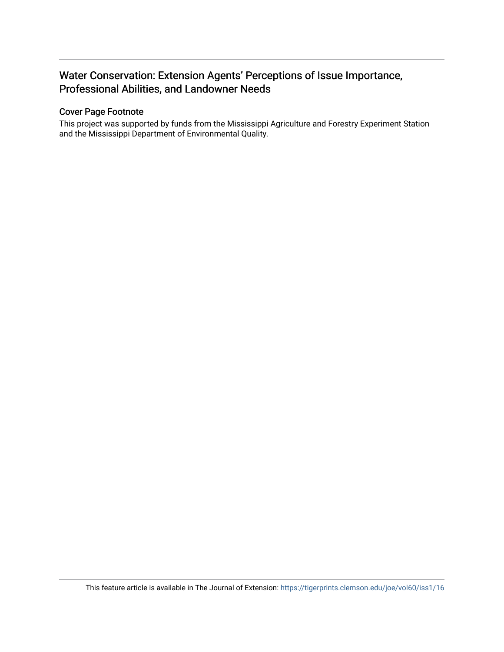# Water Conservation: Extension Agents' Perceptions of Issue Importance, Professional Abilities, and Landowner Needs

# Cover Page Footnote

This project was supported by funds from the Mississippi Agriculture and Forestry Experiment Station and the Mississippi Department of Environmental Quality.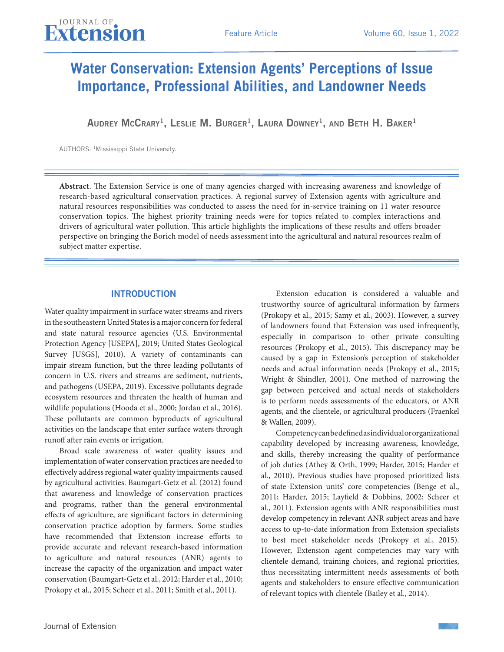# **Water Conservation: Extension Agents' Perceptions of Issue Importance, Professional Abilities, and Landowner Needs**

AUDREY MCCRARY<sup>1</sup>, LESLIE M. BURGER<sup>1</sup>, LAURA DOWNEY<sup>1</sup>, AND BETH H. BAKER<sup>1</sup>

AUTHORS: 1Mississippi State University.

**Abstract**. The Extension Service is one of many agencies charged with increasing awareness and knowledge of research-based agricultural conservation practices. A regional survey of Extension agents with agriculture and natural resources responsibilities was conducted to assess the need for in-service training on 11 water resource conservation topics. The highest priority training needs were for topics related to complex interactions and drivers of agricultural water pollution. This article highlights the implications of these results and offers broader perspective on bringing the Borich model of needs assessment into the agricultural and natural resources realm of subject matter expertise.

## INTRODUCTION

Water quality impairment in surface water streams and rivers in the southeastern United States is a major concern for federal and state natural resource agencies (U.S. Environmental Protection Agency [USEPA], 2019; United States Geological Survey [USGS], 2010). A variety of contaminants can impair stream function, but the three leading pollutants of concern in U.S. rivers and streams are sediment, nutrients, and pathogens (USEPA, 2019). Excessive pollutants degrade ecosystem resources and threaten the health of human and wildlife populations (Hooda et al., 2000; Jordan et al., 2016). These pollutants are common byproducts of agricultural activities on the landscape that enter surface waters through runoff after rain events or irrigation.

Broad scale awareness of water quality issues and implementation of water conservation practices are needed to effectively address regional water quality impairments caused by agricultural activities. Baumgart-Getz et al. (2012) found that awareness and knowledge of conservation practices and programs, rather than the general environmental effects of agriculture, are significant factors in determining conservation practice adoption by farmers. Some studies have recommended that Extension increase efforts to provide accurate and relevant research-based information to agriculture and natural resources (ANR) agents to increase the capacity of the organization and impact water conservation (Baumgart-Getz et al., 2012; Harder et al., 2010; Prokopy et al., 2015; Scheer et al., 2011; Smith et al., 2011).

Extension education is considered a valuable and trustworthy source of agricultural information by farmers (Prokopy et al., 2015; Samy et al., 2003). However, a survey of landowners found that Extension was used infrequently, especially in comparison to other private consulting resources (Prokopy et al., 2015). This discrepancy may be caused by a gap in Extension's perception of stakeholder needs and actual information needs (Prokopy et al., 2015; Wright & Shindler, 2001). One method of narrowing the gap between perceived and actual needs of stakeholders is to perform needs assessments of the educators, or ANR agents, and the clientele, or agricultural producers (Fraenkel & Wallen, 2009).

Competency can be defined as individual or organizational capability developed by increasing awareness, knowledge, and skills, thereby increasing the quality of performance of job duties (Athey & Orth, 1999; Harder, 2015; Harder et al., 2010). Previous studies have proposed prioritized lists of state Extension units' core competencies (Benge et al., 2011; Harder, 2015; Layfield & Dobbins, 2002; Scheer et al., 2011). Extension agents with ANR responsibilities must develop competency in relevant ANR subject areas and have access to up-to-date information from Extension specialists to best meet stakeholder needs (Prokopy et al., 2015). However, Extension agent competencies may vary with clientele demand, training choices, and regional priorities, thus necessitating intermittent needs assessments of both agents and stakeholders to ensure effective communication of relevant topics with clientele (Bailey et al., 2014).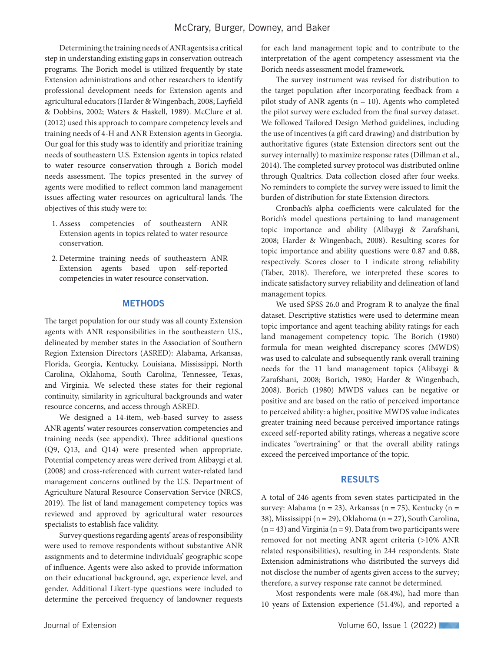Determining the training needs of ANR agents is a critical step in understanding existing gaps in conservation outreach programs. The Borich model is utilized frequently by state Extension administrations and other researchers to identify professional development needs for Extension agents and agricultural educators (Harder & Wingenbach, 2008; Layfield & Dobbins, 2002; Waters & Haskell, 1989). McClure et al. (2012) used this approach to compare competency levels and training needs of 4-H and ANR Extension agents in Georgia. Our goal for this study was to identify and prioritize training needs of southeastern U.S. Extension agents in topics related to water resource conservation through a Borich model needs assessment. The topics presented in the survey of agents were modified to reflect common land management issues affecting water resources on agricultural lands. The objectives of this study were to:

- 1. Assess competencies of southeastern ANR Extension agents in topics related to water resource conservation.
- 2. Determine training needs of southeastern ANR Extension agents based upon self-reported competencies in water resource conservation.

### **METHODS**

The target population for our study was all county Extension agents with ANR responsibilities in the southeastern U.S., delineated by member states in the Association of Southern Region Extension Directors (ASRED): Alabama, Arkansas, Florida, Georgia, Kentucky, Louisiana, Mississippi, North Carolina, Oklahoma, South Carolina, Tennessee, Texas, and Virginia. We selected these states for their regional continuity, similarity in agricultural backgrounds and water resource concerns, and access through ASRED.

We designed a 14-item, web-based survey to assess ANR agents' water resources conservation competencies and training needs (see appendix). Three additional questions (Q9, Q13, and Q14) were presented when appropriate. Potential competency areas were derived from Alibaygi et al. (2008) and cross-referenced with current water-related land management concerns outlined by the U.S. Department of Agriculture Natural Resource Conservation Service (NRCS, 2019). The list of land management competency topics was reviewed and approved by agricultural water resources specialists to establish face validity.

Survey questions regarding agents' areas of responsibility were used to remove respondents without substantive ANR assignments and to determine individuals' geographic scope of influence. Agents were also asked to provide information on their educational background, age, experience level, and gender. Additional Likert-type questions were included to determine the perceived frequency of landowner requests for each land management topic and to contribute to the interpretation of the agent competency assessment via the Borich needs assessment model framework.

The survey instrument was revised for distribution to the target population after incorporating feedback from a pilot study of ANR agents ( $n = 10$ ). Agents who completed the pilot survey were excluded from the final survey dataset. We followed Tailored Design Method guidelines, including the use of incentives (a gift card drawing) and distribution by authoritative figures (state Extension directors sent out the survey internally) to maximize response rates (Dillman et al., 2014). The completed survey protocol was distributed online through Qualtrics. Data collection closed after four weeks. No reminders to complete the survey were issued to limit the burden of distribution for state Extension directors.

Cronbach's alpha coefficients were calculated for the Borich's model questions pertaining to land management topic importance and ability (Alibaygi & Zarafshani, 2008; Harder & Wingenbach, 2008). Resulting scores for topic importance and ability questions were 0.87 and 0.88, respectively. Scores closer to 1 indicate strong reliability (Taber, 2018). Therefore, we interpreted these scores to indicate satisfactory survey reliability and delineation of land management topics.

We used SPSS 26.0 and Program R to analyze the final dataset. Descriptive statistics were used to determine mean topic importance and agent teaching ability ratings for each land management competency topic. The Borich (1980) formula for mean weighted discrepancy scores (MWDS) was used to calculate and subsequently rank overall training needs for the 11 land management topics (Alibaygi & Zarafshani, 2008; Borich, 1980; Harder & Wingenbach, 2008). Borich (1980) MWDS values can be negative or positive and are based on the ratio of perceived importance to perceived ability: a higher, positive MWDS value indicates greater training need because perceived importance ratings exceed self-reported ability ratings, whereas a negative score indicates "overtraining" or that the overall ability ratings exceed the perceived importance of the topic.

#### RESULTS

A total of 246 agents from seven states participated in the survey: Alabama (n = 23), Arkansas (n = 75), Kentucky (n = 38), Mississippi (n = 29), Oklahoma (n = 27), South Carolina,  $(n = 43)$  and Virginia  $(n = 9)$ . Data from two participants were removed for not meeting ANR agent criteria (>10% ANR related responsibilities), resulting in 244 respondents. State Extension administrations who distributed the surveys did not disclose the number of agents given access to the survey; therefore, a survey response rate cannot be determined.

Most respondents were male (68.4%), had more than 10 years of Extension experience (51.4%), and reported a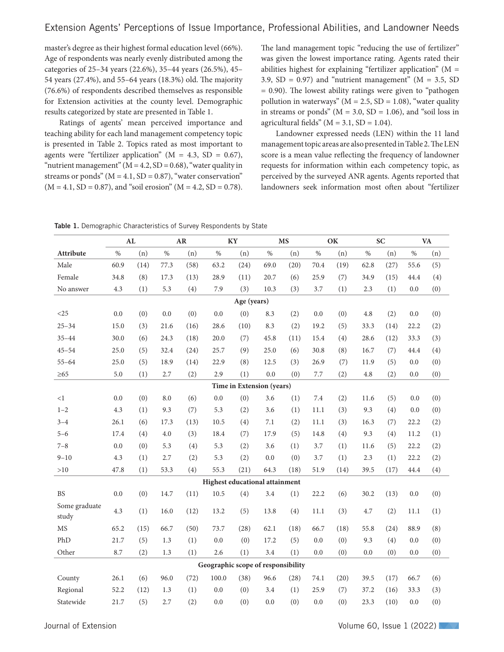master's degree as their highest formal education level (66%). Age of respondents was nearly evenly distributed among the categories of 25–34 years (22.6%), 35–44 years (26.5%), 45– 54 years (27.4%), and 55–64 years (18.3%) old. The majority (76.6%) of respondents described themselves as responsible for Extension activities at the county level. Demographic results categorized by state are presented in Table 1.

Ratings of agents' mean perceived importance and teaching ability for each land management competency topic is presented in Table 2. Topics rated as most important to agents were "fertilizer application" ( $M = 4.3$ , SD = 0.67), "nutrient management" ( $M = 4.2$ ,  $SD = 0.68$ ), "water quality in streams or ponds"  $(M = 4.1, SD = 0.87)$ , "water conservation"  $(M = 4.1, SD = 0.87)$ , and "soil erosion"  $(M = 4.2, SD = 0.78)$ . The land management topic "reducing the use of fertilizer" was given the lowest importance rating. Agents rated their abilities highest for explaining "fertilizer application" (M = 3.9,  $SD = 0.97$ ) and "nutrient management" ( $M = 3.5$ , SD = 0.90). The lowest ability ratings were given to "pathogen pollution in waterways" ( $M = 2.5$ , SD = 1.08), "water quality in streams or ponds" ( $M = 3.0$ ,  $SD = 1.06$ ), and "soil loss in agricultural fields" ( $M = 3.1$ ,  $SD = 1.04$ ).

Landowner expressed needs (LEN) within the 11 land management topic areas are also presented in Table 2. The LEN score is a mean value reflecting the frequency of landowner requests for information within each competency topic, as perceived by the surveyed ANR agents. Agents reported that landowners seek information most often about "fertilizer

| Table 1. Demographic Characteristics of Survey Respondents by State |  |  |  |  |
|---------------------------------------------------------------------|--|--|--|--|
|---------------------------------------------------------------------|--|--|--|--|

|                           |      | AL   |      | <b>AR</b> |                                       | KY   |      | <b>MS</b> |      | OK   |      | <b>SC</b> |      | <b>VA</b> |
|---------------------------|------|------|------|-----------|---------------------------------------|------|------|-----------|------|------|------|-----------|------|-----------|
| <b>Attribute</b>          | $\%$ | (n)  | $\%$ | (n)       | $\%$                                  | (n)  | $\%$ | (n)       | $\%$ | (n)  | $\%$ | (n)       | $\%$ | (n)       |
| Male                      | 60.9 | (14) | 77.3 | (58)      | 63.2                                  | (24) | 69.0 | (20)      | 70.4 | (19) | 62.8 | (27)      | 55.6 | (5)       |
| Female                    | 34.8 | (8)  | 17.3 | (13)      | 28.9                                  | (11) | 20.7 | (6)       | 25.9 | (7)  | 34.9 | (15)      | 44.4 | (4)       |
| No answer                 | 4.3  | (1)  | 5.3  | (4)       | 7.9                                   | (3)  | 10.3 | (3)       | 3.7  | (1)  | 2.3  | (1)       | 0.0  | (0)       |
| Age (years)               |      |      |      |           |                                       |      |      |           |      |      |      |           |      |           |
| <25                       | 0.0  | (0)  | 0.0  | (0)       | 0.0                                   | (0)  | 8.3  | (2)       | 0.0  | (0)  | 4.8  | (2)       | 0.0  | (0)       |
| $25 - 34$                 | 15.0 | (3)  | 21.6 | (16)      | 28.6                                  | (10) | 8.3  | (2)       | 19.2 | (5)  | 33.3 | (14)      | 22.2 | (2)       |
| $35 - 44$                 | 30.0 | (6)  | 24.3 | (18)      | 20.0                                  | (7)  | 45.8 | (11)      | 15.4 | (4)  | 28.6 | (12)      | 33.3 | (3)       |
| $45 - 54$                 | 25.0 | (5)  | 32.4 | (24)      | 25.7                                  | (9)  | 25.0 | (6)       | 30.8 | (8)  | 16.7 | (7)       | 44.4 | (4)       |
| $55 - 64$                 | 25.0 | (5)  | 18.9 | (14)      | 22.9                                  | (8)  | 12.5 | (3)       | 26.9 | (7)  | 11.9 | (5)       | 0.0  | (0)       |
| $\geq 65$                 | 5.0  | (1)  | 2.7  | (2)       | 2.9                                   | (1)  | 0.0  | (0)       | 7.7  | (2)  | 4.8  | (2)       | 0.0  | (0)       |
| Time in Extension (years) |      |      |      |           |                                       |      |      |           |      |      |      |           |      |           |
| <1                        | 0.0  | (0)  | 8.0  | (6)       | 0.0                                   | (0)  | 3.6  | (1)       | 7.4  | (2)  | 11.6 | (5)       | 0.0  | (0)       |
| $1 - 2$                   | 4.3  | (1)  | 9.3  | (7)       | 5.3                                   | (2)  | 3.6  | (1)       | 11.1 | (3)  | 9.3  | (4)       | 0.0  | (0)       |
| $3 - 4$                   | 26.1 | (6)  | 17.3 | (13)      | 10.5                                  | (4)  | 7.1  | (2)       | 11.1 | (3)  | 16.3 | (7)       | 22.2 | (2)       |
| $5 - 6$                   | 17.4 | (4)  | 4.0  | (3)       | 18.4                                  | (7)  | 17.9 | (5)       | 14.8 | (4)  | 9.3  | (4)       | 11.2 | (1)       |
| $7 - 8$                   | 0.0  | (0)  | 5.3  | (4)       | 5.3                                   | (2)  | 3.6  | (1)       | 3.7  | (1)  | 11.6 | (5)       | 22.2 | (2)       |
| $9 - 10$                  | 4.3  | (1)  | 2.7  | (2)       | 5.3                                   | (2)  | 0.0  | (0)       | 3.7  | (1)  | 2.3  | (1)       | 22.2 | (2)       |
| >10                       | 47.8 | (1)  | 53.3 | (4)       | 55.3                                  | (21) | 64.3 | (18)      | 51.9 | (14) | 39.5 | (17)      | 44.4 | (4)       |
|                           |      |      |      |           | <b>Highest educational attainment</b> |      |      |           |      |      |      |           |      |           |
| <b>BS</b>                 | 0.0  | (0)  | 14.7 | (11)      | 10.5                                  | (4)  | 3.4  | (1)       | 22.2 | (6)  | 30.2 | (13)      | 0.0  | (0)       |
| Some graduate<br>study    | 4.3  | (1)  | 16.0 | (12)      | 13.2                                  | (5)  | 13.8 | (4)       | 11.1 | (3)  | 4.7  | (2)       | 11.1 | (1)       |
| <b>MS</b>                 | 65.2 | (15) | 66.7 | (50)      | 73.7                                  | (28) | 62.1 | (18)      | 66.7 | (18) | 55.8 | (24)      | 88.9 | (8)       |
| PhD                       | 21.7 | (5)  | 1.3  | (1)       | 0.0                                   | (0)  | 17.2 | (5)       | 0.0  | (0)  | 9.3  | (4)       | 0.0  | (0)       |
| Other                     | 8.7  | (2)  | 1.3  | (1)       | 2.6                                   | (1)  | 3.4  | (1)       | 0.0  | (0)  | 0.0  | (0)       | 0.0  | (0)       |
|                           |      |      |      |           | Geographic scope of responsibility    |      |      |           |      |      |      |           |      |           |
| County                    | 26.1 | (6)  | 96.0 | (72)      | 100.0                                 | (38) | 96.6 | (28)      | 74.1 | (20) | 39.5 | (17)      | 66.7 | (6)       |
| Regional                  | 52.2 | (12) | 1.3  | (1)       | 0.0                                   | (0)  | 3.4  | (1)       | 25.9 | (7)  | 37.2 | (16)      | 33.3 | (3)       |
| Statewide                 | 21.7 | (5)  | 2.7  | (2)       | 0.0                                   | (0)  | 0.0  | (0)       | 0.0  | (0)  | 23.3 | (10)      | 0.0  | (0)       |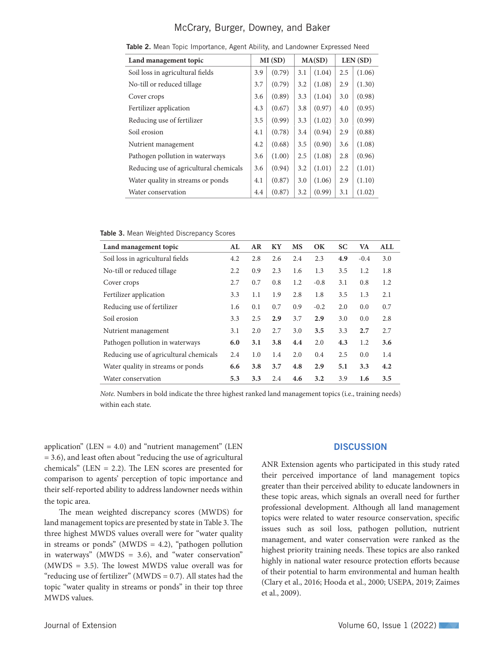## McCrary, Burger, Downey, and Baker

| Land management topic                  |     | MI(SD) |     | MA(SD) |     | LEN(SD) |
|----------------------------------------|-----|--------|-----|--------|-----|---------|
| Soil loss in agricultural fields       | 3.9 | (0.79) | 3.1 | (1.04) | 2.5 | (1.06)  |
| No-till or reduced tillage             | 3.7 | (0.79) | 3.2 | (1.08) | 2.9 | (1.30)  |
| Cover crops                            | 3.6 | (0.89) | 3.3 | (1.04) | 3.0 | (0.98)  |
| Fertilizer application                 | 4.3 | (0.67) | 3.8 | (0.97) | 4.0 | (0.95)  |
| Reducing use of fertilizer             | 3.5 | (0.99) | 3.3 | (1.02) | 3.0 | (0.99)  |
| Soil erosion                           | 4.1 | (0.78) | 3.4 | (0.94) | 2.9 | (0.88)  |
| Nutrient management                    | 4.2 | (0.68) | 3.5 | (0.90) | 3.6 | (1.08)  |
| Pathogen pollution in waterways        | 3.6 | (1.00) | 2.5 | (1.08) | 2.8 | (0.96)  |
| Reducing use of agricultural chemicals | 3.6 | (0.94) | 3.2 | (1.01) | 2.2 | (1.01)  |
| Water quality in streams or ponds      | 4.1 | (0.87) | 3.0 | (1.06) | 2.9 | (1.10)  |
| Water conservation                     | 4.4 | (0.87) | 3.2 | (0.99) | 3.1 | (1.02)  |
|                                        |     |        |     |        |     |         |

Table 2. Mean Topic Importance, Agent Ability, and Landowner Expressed Need

Table 3. Mean Weighted Discrepancy Scores

| Land management topic                  | AL  | AR  | KY  | <b>MS</b> | OK     | <b>SC</b> | VA     | <b>ALL</b> |
|----------------------------------------|-----|-----|-----|-----------|--------|-----------|--------|------------|
| Soil loss in agricultural fields       | 4.2 | 2.8 | 2.6 | 2.4       | 2.3    | 4.9       | $-0.4$ | 3.0        |
| No-till or reduced tillage             | 2.2 | 0.9 | 2.3 | 1.6       | 1.3    | 3.5       | 1.2    | 1.8        |
| Cover crops                            | 2.7 | 0.7 | 0.8 | 1.2       | $-0.8$ | 3.1       | 0.8    | 1.2        |
| Fertilizer application                 | 3.3 | 1.1 | 1.9 | 2.8       | 1.8    | 3.5       | 1.3    | 2.1        |
| Reducing use of fertilizer             | 1.6 | 0.1 | 0.7 | 0.9       | $-0.2$ | 2.0       | 0.0    | 0.7        |
| Soil erosion                           | 3.3 | 2.5 | 2.9 | 3.7       | 2.9    | 3.0       | 0.0    | 2.8        |
| Nutrient management                    | 3.1 | 2.0 | 2.7 | 3.0       | 3.5    | 3.3       | 2.7    | 2.7        |
| Pathogen pollution in waterways        | 6.0 | 3.1 | 3.8 | 4.4       | 2.0    | 4.3       | 1.2    | 3.6        |
| Reducing use of agricultural chemicals | 2.4 | 1.0 | 1.4 | 2.0       | 0.4    | 2.5       | 0.0    | 1.4        |
| Water quality in streams or ponds      | 6.6 | 3.8 | 3.7 | 4.8       | 2.9    | 5.1       | 3.3    | 4.2        |
| Water conservation                     | 5.3 | 3.3 | 2.4 | 4.6       | 3.2    | 3.9       | 1.6    | 3.5        |

*Note.* Numbers in bold indicate the three highest ranked land management topics (i.e., training needs) within each state.

application" (LEN =  $4.0$ ) and "nutrient management" (LEN = 3.6), and least often about "reducing the use of agricultural chemicals" (LEN  $= 2.2$ ). The LEN scores are presented for comparison to agents' perception of topic importance and their self-reported ability to address landowner needs within the topic area.

The mean weighted discrepancy scores (MWDS) for land management topics are presented by state in Table 3. The three highest MWDS values overall were for "water quality in streams or ponds" (MWDS = 4.2), "pathogen pollution in waterways" (MWDS = 3.6), and "water conservation" (MWDS = 3.5). The lowest MWDS value overall was for "reducing use of fertilizer" ( $MWDS = 0.7$ ). All states had the topic "water quality in streams or ponds" in their top three MWDS values.

#### **DISCUSSION**

ANR Extension agents who participated in this study rated their perceived importance of land management topics greater than their perceived ability to educate landowners in these topic areas, which signals an overall need for further professional development. Although all land management topics were related to water resource conservation, specific issues such as soil loss, pathogen pollution, nutrient management, and water conservation were ranked as the highest priority training needs. These topics are also ranked highly in national water resource protection efforts because of their potential to harm environmental and human health (Clary et al., 2016; Hooda et al., 2000; USEPA, 2019; Zaimes et al., 2009).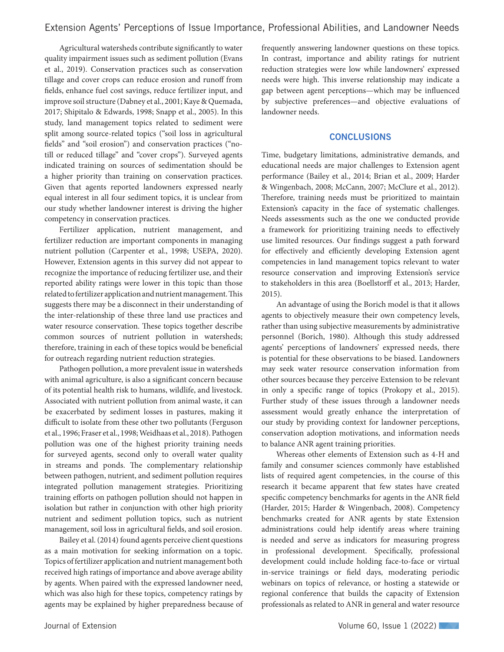Agricultural watersheds contribute significantly to water quality impairment issues such as sediment pollution (Evans et al., 2019). Conservation practices such as conservation tillage and cover crops can reduce erosion and runoff from fields, enhance fuel cost savings, reduce fertilizer input, and improve soil structure (Dabney et al., 2001; Kaye & Quemada, 2017; Shipitalo & Edwards, 1998; Snapp et al., 2005). In this study, land management topics related to sediment were split among source-related topics ("soil loss in agricultural fields" and "soil erosion") and conservation practices ("notill or reduced tillage" and "cover crops"). Surveyed agents indicated training on sources of sedimentation should be a higher priority than training on conservation practices. Given that agents reported landowners expressed nearly equal interest in all four sediment topics, it is unclear from our study whether landowner interest is driving the higher competency in conservation practices.

Fertilizer application, nutrient management, and fertilizer reduction are important components in managing nutrient pollution (Carpenter et al., 1998; USEPA, 2020). However, Extension agents in this survey did not appear to recognize the importance of reducing fertilizer use, and their reported ability ratings were lower in this topic than those related to fertilizer application and nutrient management. This suggests there may be a disconnect in their understanding of the inter-relationship of these three land use practices and water resource conservation. These topics together describe common sources of nutrient pollution in watersheds; therefore, training in each of these topics would be beneficial for outreach regarding nutrient reduction strategies.

Pathogen pollution, a more prevalent issue in watersheds with animal agriculture, is also a significant concern because of its potential health risk to humans, wildlife, and livestock. Associated with nutrient pollution from animal waste, it can be exacerbated by sediment losses in pastures, making it difficult to isolate from these other two pollutants (Ferguson et al., 1996; Fraser et al., 1998; Weidhaas et al., 2018). Pathogen pollution was one of the highest priority training needs for surveyed agents, second only to overall water quality in streams and ponds. The complementary relationship between pathogen, nutrient, and sediment pollution requires integrated pollution management strategies. Prioritizing training efforts on pathogen pollution should not happen in isolation but rather in conjunction with other high priority nutrient and sediment pollution topics, such as nutrient management, soil loss in agricultural fields, and soil erosion.

Bailey et al. (2014) found agents perceive client questions as a main motivation for seeking information on a topic. Topics of fertilizer application and nutrient management both received high ratings of importance and above average ability by agents. When paired with the expressed landowner need, which was also high for these topics, competency ratings by agents may be explained by higher preparedness because of

frequently answering landowner questions on these topics. In contrast, importance and ability ratings for nutrient reduction strategies were low while landowners' expressed needs were high. This inverse relationship may indicate a gap between agent perceptions—which may be influenced by subjective preferences—and objective evaluations of landowner needs.

### **CONCLUSIONS**

Time, budgetary limitations, administrative demands, and educational needs are major challenges to Extension agent performance (Bailey et al., 2014; Brian et al., 2009; Harder & Wingenbach, 2008; McCann, 2007; McClure et al., 2012). Therefore, training needs must be prioritized to maintain Extension's capacity in the face of systematic challenges. Needs assessments such as the one we conducted provide a framework for prioritizing training needs to effectively use limited resources. Our findings suggest a path forward for effectively and efficiently developing Extension agent competencies in land management topics relevant to water resource conservation and improving Extension's service to stakeholders in this area (Boellstorff et al., 2013; Harder, 2015).

An advantage of using the Borich model is that it allows agents to objectively measure their own competency levels, rather than using subjective measurements by administrative personnel (Borich, 1980). Although this study addressed agents' perceptions of landowners' expressed needs, there is potential for these observations to be biased. Landowners may seek water resource conservation information from other sources because they perceive Extension to be relevant in only a specific range of topics (Prokopy et al., 2015). Further study of these issues through a landowner needs assessment would greatly enhance the interpretation of our study by providing context for landowner perceptions, conservation adoption motivations, and information needs to balance ANR agent training priorities.

Whereas other elements of Extension such as 4-H and family and consumer sciences commonly have established lists of required agent competencies, in the course of this research it became apparent that few states have created specific competency benchmarks for agents in the ANR field (Harder, 2015; Harder & Wingenbach, 2008). Competency benchmarks created for ANR agents by state Extension administrations could help identify areas where training is needed and serve as indicators for measuring progress in professional development. Specifically, professional development could include holding face-to-face or virtual in-service trainings or field days, moderating periodic webinars on topics of relevance, or hosting a statewide or regional conference that builds the capacity of Extension professionals as related to ANR in general and water resource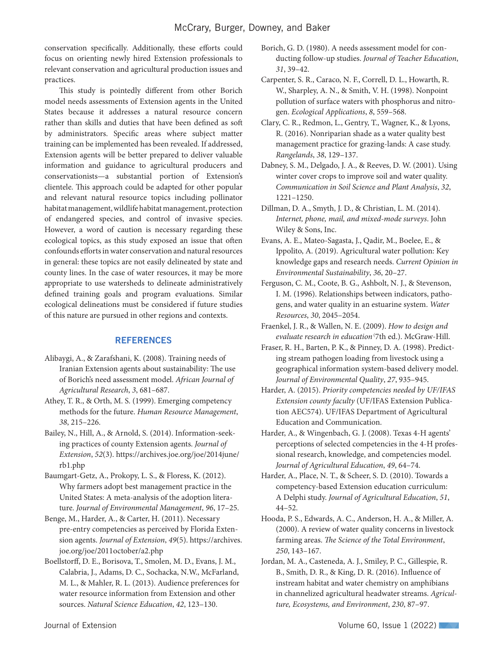conservation specifically. Additionally, these efforts could focus on orienting newly hired Extension professionals to relevant conservation and agricultural production issues and practices.

This study is pointedly different from other Borich model needs assessments of Extension agents in the United States because it addresses a natural resource concern rather than skills and duties that have been defined as soft by administrators. Specific areas where subject matter training can be implemented has been revealed. If addressed, Extension agents will be better prepared to deliver valuable information and guidance to agricultural producers and conservationists—a substantial portion of Extension's clientele. This approach could be adapted for other popular and relevant natural resource topics including pollinator habitat management, wildlife habitat management, protection of endangered species, and control of invasive species. However, a word of caution is necessary regarding these ecological topics, as this study exposed an issue that often confounds efforts in water conservation and natural resources in general: these topics are not easily delineated by state and county lines. In the case of water resources, it may be more appropriate to use watersheds to delineate administratively defined training goals and program evaluations. Similar ecological delineations must be considered if future studies of this nature are pursued in other regions and contexts.

## **REFERENCES**

- Alibaygi, A., & Zarafshani, K. (2008). Training needs of Iranian Extension agents about sustainability: The use of Borich's need assessment model. *African Journal of Agricultural Research*, *3*, 681–687.
- Athey, T. R., & Orth, M. S. (1999). Emerging competency methods for the future. *Human Resource Management*, *38*, 215–226.
- Bailey, N., Hill, A., & Arnold, S. (2014). Information-seeking practices of county Extension agents. *Journal of Extension*, *52*(3). https://archives.joe.org/joe/2014june/ rb1.php
- Baumgart-Getz, A., Prokopy, L. S., & Floress, K. (2012). Why farmers adopt best management practice in the United States: A meta-analysis of the adoption literature. *Journal of Environmental Management*, *96*, 17–25.
- Benge, M., Harder, A., & Carter, H. (2011). Necessary pre-entry competencies as perceived by Florida Extension agents. *Journal of Extension*, *49*(5). https://archives. joe.org/joe/2011october/a2.php
- Boellstorff, D. E., Borisova, T., Smolen, M. D., Evans, J. M., Calabria, J., Adams, D. C., Sochacka, N.W., McFarland, M. L., & Mahler, R. L. (2013). Audience preferences for water resource information from Extension and other sources. *Natural Science Education*, *42*, 123–130.
- Borich, G. D. (1980). A needs assessment model for conducting follow-up studies. *Journal of Teacher Education*, *31*, 39–42.
- Carpenter, S. R., Caraco, N. F., Correll, D. L., Howarth, R. W., Sharpley, A. N., & Smith, V. H. (1998). Nonpoint pollution of surface waters with phosphorus and nitrogen. *Ecological Applications*, *8*, 559–568.
- Clary, C. R., Redmon, L., Gentry, T., Wagner, K., & Lyons, R. (2016). Nonriparian shade as a water quality best management practice for grazing-lands: A case study. *Rangelands*, *38*, 129–137.
- Dabney, S. M., Delgado, J. A., & Reeves, D. W. (2001). Using winter cover crops to improve soil and water quality. *Communication in Soil Science and Plant Analysis*, *32*, 1221–1250.
- Dillman, D. A., Smyth, J. D., & Christian, L. M. (2014). *Internet, phone, mail, and mixed-mode surveys*. John Wiley & Sons, Inc.
- Evans, A. E., Mateo-Sagasta, J., Qadir, M., Boelee, E., & Ippolito, A. (2019). Agricultural water pollution: Key knowledge gaps and research needs. *Current Opinion in Environmental Sustainability*, *36*, 20–27.
- Ferguson, C. M., Coote, B. G., Ashbolt, N. J., & Stevenson, I. M. (1996). Relationships between indicators, pathogens, and water quality in an estuarine system. *Water Resources*, *30*, 2045–2054.
- Fraenkel, J. R., & Wallen, N. E. (2009). *How to design and evaluate research in education* (7th ed.). McGraw-Hill.
- Fraser, R. H., Barten, P. K., & Pinney, D. A. (1998). Predicting stream pathogen loading from livestock using a geographical information system-based delivery model. *Journal of Environmental Quality*, *27*, 935–945.
- Harder, A. (2015). *Priority competencies needed by UF/IFAS Extension county faculty* (UF/IFAS Extension Publication AEC574). UF/IFAS Department of Agricultural Education and Communication.
- Harder, A., & Wingenbach, G. J. (2008). Texas 4-H agents' perceptions of selected competencies in the 4-H professional research, knowledge, and competencies model. *Journal of Agricultural Education*, *49*, 64–74.
- Harder, A., Place, N. T., & Scheer, S. D. (2010). Towards a competency-based Extension education curriculum: A Delphi study. *Journal of Agricultural Education*, *51*, 44–52.
- Hooda, P. S., Edwards, A. C., Anderson, H. A., & Miller, A. (2000). A review of water quality concerns in livestock farming areas. *The Science of the Total Environment*, *250*, 143–167.
- Jordan, M. A., Casteneda, A. J., Smiley, P. C., Gillespie, R. B., Smith, D. R., & King, D. R. (2016). Influence of instream habitat and water chemistry on amphibians in channelized agricultural headwater streams. *Agriculture, Ecosystems, and Environment*, *230*, 87–97.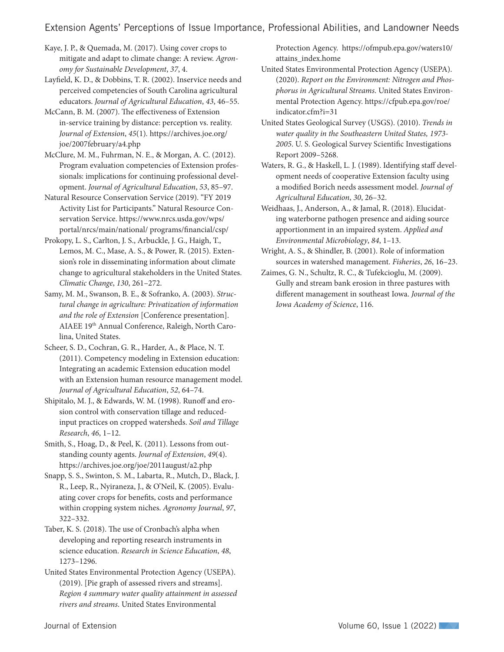Extension Agents' Perceptions of Issue Importance, Professional Abilities, and Landowner Needs

Kaye, J. P., & Quemada, M. (2017). Using cover crops to mitigate and adapt to climate change: A review. *Agronomy for Sustainable Development*, *37*, 4.

Layfield, K. D., & Dobbins, T. R. (2002). Inservice needs and perceived competencies of South Carolina agricultural educators. *Journal of Agricultural Education*, *43*, 46–55.

McCann, B. M. (2007). The effectiveness of Extension in-service training by distance: perception vs. reality. *Journal of Extension*, *45*(1)*.* https://archives.joe.org/ joe/2007february/a4.php

McClure, M. M., Fuhrman, N. E., & Morgan, A. C. (2012). Program evaluation competencies of Extension professionals: implications for continuing professional development. *Journal of Agricultural Education*, *53*, 85–97.

Natural Resource Conservation Service (2019). "FY 2019 Activity List for Participants." Natural Resource Conservation Service. https://www.nrcs.usda.gov/wps/ portal/nrcs/main/national/ programs/financial/csp/

Prokopy, L. S., Carlton, J. S., Arbuckle, J. G., Haigh, T., Lemos, M. C., Mase, A. S., & Power, R. (2015). Extension's role in disseminating information about climate change to agricultural stakeholders in the United States. *Climatic Change*, *130*, 261–272.

Samy, M. M., Swanson, B. E., & Sofranko, A. (2003). *Structural change in agriculture: Privatization of information and the role of Extension* [Conference presentation]. AIAEE 19th Annual Conference, Raleigh, North Carolina, United States.

Scheer, S. D., Cochran, G. R., Harder, A., & Place, N. T. (2011). Competency modeling in Extension education: Integrating an academic Extension education model with an Extension human resource management model. *Journal of Agricultural Education*, *52*, 64–74.

Shipitalo, M. J., & Edwards, W. M. (1998). Runoff and erosion control with conservation tillage and reducedinput practices on cropped watersheds. *Soil and Tillage Research*, *46*, 1–12.

Smith, S., Hoag, D., & Peel, K. (2011). Lessons from outstanding county agents. *Journal of Extension*, *49*(4). https://archives.joe.org/joe/2011august/a2.php

Snapp, S. S., Swinton, S. M., Labarta, R., Mutch, D., Black, J. R., Leep, R., Nyiraneza, J., & O'Neil, K. (2005). Evaluating cover crops for benefits, costs and performance within cropping system niches. *Agronomy Journal*, *97*, 322–332.

Taber, K. S. (2018). The use of Cronbach's alpha when developing and reporting research instruments in science education. *Research in Science Education*, *48*, 1273–1296.

United States Environmental Protection Agency (USEPA). (2019). [Pie graph of assessed rivers and streams]. *Region 4 summary water quality attainment in assessed rivers and streams*. United States Environmental

Protection Agency. https://ofmpub.epa.gov/waters10/ attains\_index.home

United States Environmental Protection Agency (USEPA). (2020). *Report on the Environment: Nitrogen and Phosphorus in Agricultural Streams*. United States Environmental Protection Agency. https://cfpub.epa.gov/roe/ indicator.cfm?i=31

United States Geological Survey (USGS). (2010). *Trends in water quality in the Southeastern United States, 1973- 2005*. U. S. Geological Survey Scientific Investigations Report 2009–5268.

Waters, R. G., & Haskell, L. J. (1989). Identifying staff development needs of cooperative Extension faculty using a modified Borich needs assessment model. *Journal of Agricultural Education*, *30*, 26–32.

Weidhaas, J., Anderson, A., & Jamal, R. (2018). Elucidating waterborne pathogen presence and aiding source apportionment in an impaired system. *Applied and Environmental Microbiology*, *84*, 1–13.

Wright, A. S., & Shindler, B. (2001). Role of information sources in watershed management. *Fisheries*, *26*, 16–23.

Zaimes, G. N., Schultz, R. C., & Tufekcioglu, M. (2009). Gully and stream bank erosion in three pastures with different management in southeast Iowa. *Journal of the Iowa Academy of Science*, 116.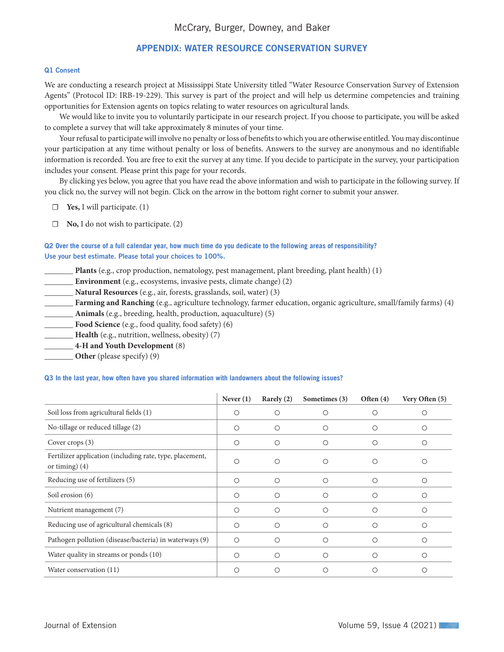# APPENDIX: WATER RESOURCE CONSERVATION SURVEY

#### Q1 Consent

We are conducting a research project at Mississippi State University titled "Water Resource Conservation Survey of Extension Agents" (Protocol ID: IRB-19-229). This survey is part of the project and will help us determine competencies and training opportunities for Extension agents on topics relating to water resources on agricultural lands.

We would like to invite you to voluntarily participate in our research project. If you choose to participate, you will be asked to complete a survey that will take approximately 8 minutes of your time.

Your refusal to participate will involve no penalty or loss of benefits to which you are otherwise entitled. You may discontinue your participation at any time without penalty or loss of benefits. Answers to the survey are anonymous and no identifiable information is recorded. You are free to exit the survey at any time. If you decide to participate in the survey, your participation includes your consent. Please print this page for your records.

By clicking yes below, you agree that you have read the above information and wish to participate in the following survey. If you click no, the survey will not begin. Click on the arrow in the bottom right corner to submit your answer.

- ☐ **Yes,** I will participate. (1)
- ☐ **No,** I do not wish to participate. (2)

### Q2 **Over the course of a full calendar year, how much time do you dedicate to the following areas of responsibility?** Use your best estimate. Please total your choices to 100%.

- Plants (e.g., crop production, nematology, pest management, plant breeding, plant health) (1)
- \_\_\_\_\_\_\_ **Environment** (e.g., ecosystems, invasive pests, climate change) (2)
- \_\_\_\_\_\_\_ **Natural Resources** (e.g., air, forests, grasslands, soil, water) (3)
- \_\_\_\_\_\_\_ **Farming and Ranching** (e.g., agriculture technology, farmer education, organic agriculture, small/family farms) (4)
- \_\_\_\_\_\_\_ **Animals** (e.g., breeding, health, production, aquaculture) (5)
- **Food Science** (e.g., food quality, food safety) (6)
- \_\_\_\_\_\_\_ **Health** (e.g., nutrition, wellness, obesity) (7)
- \_\_\_\_\_\_\_ **4-H and Youth Development** (8)
- **Other** (please specify) (9)

#### Q3 **In the last year, how often have you shared information with landowners about the following issues?**

|                                                                              | Never $(1)$ | Rarely (2) | Sometimes (3) | Often $(4)$ | Very Often (5)  |
|------------------------------------------------------------------------------|-------------|------------|---------------|-------------|-----------------|
| Soil loss from agricultural fields (1)                                       | O           | O          | O             | O           | О               |
| No-tillage or reduced tillage (2)                                            | O           | O          | $\bigcirc$    | O           | О               |
| Cover crops (3)                                                              | O           | O          | $\bigcirc$    | O           | О               |
| Fertilizer application (including rate, type, placement,<br>or timing) $(4)$ | $\bigcirc$  | $\circ$    | ∩             | Ω           | Ο               |
| Reducing use of fertilizers (5)                                              | $\circ$     | $\circ$    | $\bigcirc$    | O           | Ω               |
| Soil erosion (6)                                                             | O           | O          | O             | O           | O               |
| Nutrient management (7)                                                      | O           | $\circ$    | O             | O           | $\left(\right)$ |
| Reducing use of agricultural chemicals (8)                                   | O           | $\circ$    | ∩             | O           | $\left(\right)$ |
| Pathogen pollution (disease/bacteria) in waterways (9)                       | O           | $\circ$    | ∩             | Ω           | ∩               |
| Water quality in streams or ponds (10)                                       | O           | $\circ$    | ∩             | Ω           | ∩               |
| Water conservation (11)                                                      | ∩           | ∩          |               |             | ∩               |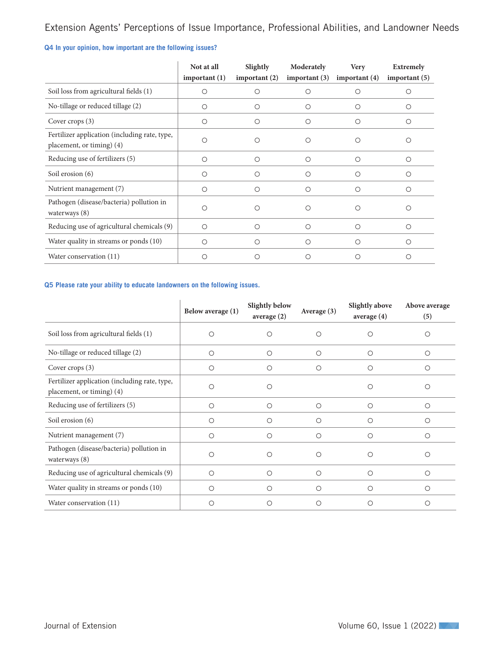# Extension Agents' Perceptions of Issue Importance, Professional Abilities, and Landowner Needs

# Q4 **In your opinion, how important are the following issues?**

|                                                                            | Not at all<br>important $(1)$ | Slightly<br>important $(2)$ | Moderately<br>important $(3)$ | <b>Very</b><br>important $(4)$ | Extremely<br>important $(5)$ |
|----------------------------------------------------------------------------|-------------------------------|-----------------------------|-------------------------------|--------------------------------|------------------------------|
| Soil loss from agricultural fields (1)                                     | O                             | Ω                           | Ο                             | Ο                              |                              |
| No-tillage or reduced tillage (2)                                          | $\circ$                       | Ω                           | Ω                             | O                              |                              |
| Cover crops (3)                                                            | $\circ$                       | O                           | $\circ$                       | O                              |                              |
| Fertilizer application (including rate, type,<br>placement, or timing) (4) | $\bigcirc$                    | ∩                           | $\circ$                       | O                              |                              |
| Reducing use of fertilizers (5)                                            | $\circ$                       | $\circ$                     | $\circ$                       | $\circ$                        | $\bigcirc$                   |
| Soil erosion (6)                                                           | O                             | ∩                           | $\circ$                       | Ο                              | Ω                            |
| Nutrient management (7)                                                    | $\circ$                       | $\circ$                     | $\circ$                       | О                              | О                            |
| Pathogen (disease/bacteria) pollution in<br>waterways $(8)$                | O                             | ∩                           | $\circ$                       | ∩                              |                              |
| Reducing use of agricultural chemicals (9)                                 | $\circ$                       | ◯                           | $\circ$                       | Ω                              |                              |
| Water quality in streams or ponds (10)                                     | $\circ$                       | $\bigcirc$                  | $\circ$                       | O                              |                              |
| Water conservation (11)                                                    | Ο                             |                             | O                             | ( )                            |                              |

#### Q5 **Please rate your ability to educate landowners on the following issues.**

|                                                                            | Below average (1) | Slightly below<br>average (2) | Average $(3)$ | Slightly above<br>average (4) | Above average<br>(5) |
|----------------------------------------------------------------------------|-------------------|-------------------------------|---------------|-------------------------------|----------------------|
| Soil loss from agricultural fields (1)                                     | Ο                 |                               | ∩             |                               | $\circ$              |
| No-tillage or reduced tillage (2)                                          | Ο                 | Ω                             | $\bigcirc$    | $\circ$                       | $\bigcirc$           |
| Cover crops (3)                                                            | O                 | Ω                             | O             | Ω                             | O                    |
| Fertilizer application (including rate, type,<br>placement, or timing) (4) |                   | ∩                             |               |                               | ∩                    |
| Reducing use of fertilizers (5)                                            | О                 | $\circ$                       | O             | O                             | O                    |
| Soil erosion (6)                                                           | $\bigcirc$        | ∩                             | ∩             | ∩                             | ∩                    |
| Nutrient management (7)                                                    | О                 | O                             | $\circ$       | $\bigcirc$                    | $\circ$              |
| Pathogen (disease/bacteria) pollution in<br>waterways (8)                  | Ω                 | ∩                             | ∩             |                               | ∩                    |
| Reducing use of agricultural chemicals (9)                                 | О                 | $\circ$                       | $\circ$       | O                             | $\circ$              |
| Water quality in streams or ponds (10)                                     | $\circ$           | $\bigcirc$                    | $\bigcirc$    | $\circ$                       | $\bigcirc$           |
| Water conservation (11)                                                    | О                 | ∩                             | О             | O                             | Ω                    |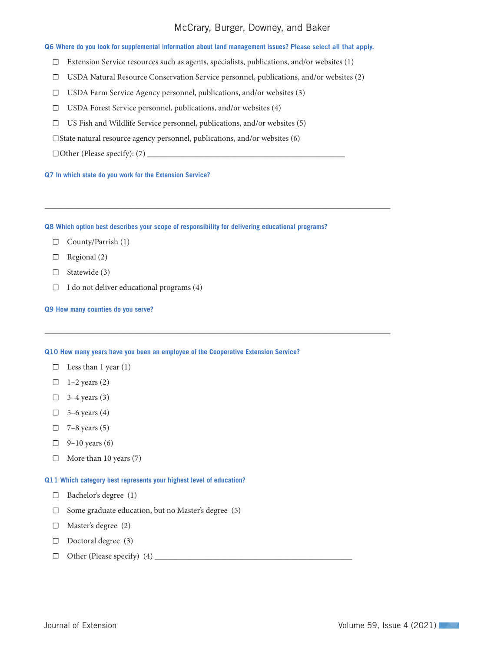# McCrary, Burger, Downey, and Baker

#### Q6 **Where do you look for supplemental information about land management issues?** Please select all that apply.

- ☐ Extension Service resources such as agents, specialists, publications, and/or websites (1)
- ☐ USDA Natural Resource Conservation Service personnel, publications, and/or websites (2)

\_\_\_\_\_\_\_\_\_\_\_\_\_\_\_\_\_\_\_\_\_\_\_\_\_\_\_\_\_\_\_\_\_\_\_\_\_\_\_\_\_\_\_\_\_\_\_\_\_\_\_\_\_\_\_\_\_\_\_\_\_\_\_\_\_\_\_\_\_\_\_\_\_\_\_\_\_\_\_\_\_\_\_\_

\_\_\_\_\_\_\_\_\_\_\_\_\_\_\_\_\_\_\_\_\_\_\_\_\_\_\_\_\_\_\_\_\_\_\_\_\_\_\_\_\_\_\_\_\_\_\_\_\_\_\_\_\_\_\_\_\_\_\_\_\_\_\_\_\_\_\_\_\_\_\_\_\_\_\_\_\_\_\_\_\_\_\_\_

- ☐ USDA Farm Service Agency personnel, publications, and/or websites (3)
- ☐ USDA Forest Service personnel, publications, and/or websites (4)
- ☐ US Fish and Wildlife Service personnel, publications, and/or websites (5)

☐State natural resource agency personnel, publications, and/or websites (6)

 $\Box$  Other (Please specify): (7)  $\_\_\_\_\_\_\_\_\_\_\_\_\_\_\_\_\_\_$ 

Q7 **In which state do you work for the Extension Service?**

Q8 **Which option best describes your scope of responsibility for delivering educational programs?**

- ☐ County/Parrish (1)
- □ Regional (2)
- □ Statewide (3)
- $\Box$  I do not deliver educational programs (4)

Q9 **How many counties do you serve?**

#### Q10 **How many years have you been an employee of the Cooperative Extension Service?**

- $\Box$  Less than 1 year (1)
- $\Box$  1–2 years (2)
- $\Box$  3–4 years (3)
- $\Box$  5–6 years (4)
- $\Box$  7–8 years (5)
- $\Box$  9–10 years (6)
- $\Box$  More than 10 years (7)

#### Q11 **Which category best represents your highest level of education?**

- ☐ Bachelor's degree (1)
- ☐ Some graduate education, but no Master's degree (5)
- □ Master's degree (2)
- □ Doctoral degree (3)
- ☐ Other (Please specify) (4) \_\_\_\_\_\_\_\_\_\_\_\_\_\_\_\_\_\_\_\_\_\_\_\_\_\_\_\_\_\_\_\_\_\_\_\_\_\_\_\_\_\_\_\_\_\_\_\_